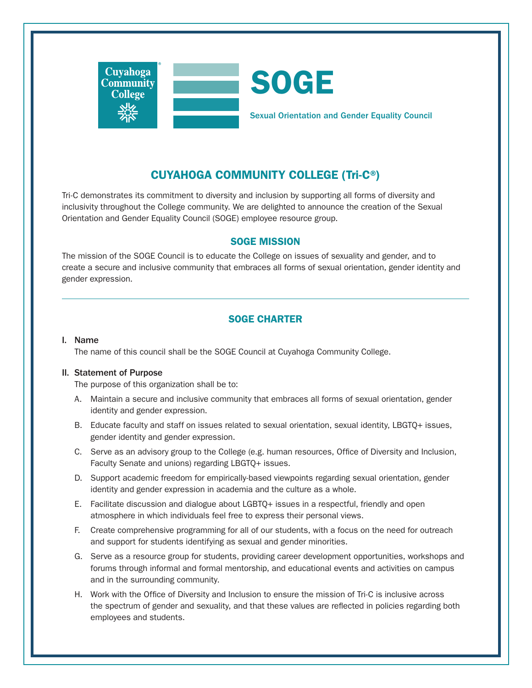

# CUYAHOGA COMMUNITY COLLEGE (Tri-C®)

Tri-C demonstrates its commitment to diversity and inclusion by supporting all forms of diversity and inclusivity throughout the College community. We are delighted to announce the creation of the Sexual Orientation and Gender Equality Council (SOGE) employee resource group.

# SOGE MISSION

The mission of the SOGE Council is to educate the College on issues of sexuality and gender, and to create a secure and inclusive community that embraces all forms of sexual orientation, gender identity and gender expression.

# SOGE CHARTER

#### I. Name

The name of this council shall be the SOGE Council at Cuyahoga Community College.

## II. Statement of Purpose

The purpose of this organization shall be to:

- A. Maintain a secure and inclusive community that embraces all forms of sexual orientation, gender identity and gender expression.
- B. Educate faculty and staff on issues related to sexual orientation, sexual identity, LBGTQ+ issues, gender identity and gender expression.
- C. Serve as an advisory group to the College (e.g. human resources, Office of Diversity and Inclusion, Faculty Senate and unions) regarding LBGTQ+ issues.
- D. Support academic freedom for empirically-based viewpoints regarding sexual orientation, gender identity and gender expression in academia and the culture as a whole.
- E. Facilitate discussion and dialogue about LGBTQ+ issues in a respectful, friendly and open atmosphere in which individuals feel free to express their personal views.
- F. Create comprehensive programming for all of our students, with a focus on the need for outreach and support for students identifying as sexual and gender minorities.
- G. Serve as a resource group for students, providing career development opportunities, workshops and forums through informal and formal mentorship, and educational events and activities on campus and in the surrounding community.
- H. Work with the Office of Diversity and Inclusion to ensure the mission of Tri-C is inclusive across the spectrum of gender and sexuality, and that these values are reflected in policies regarding both employees and students.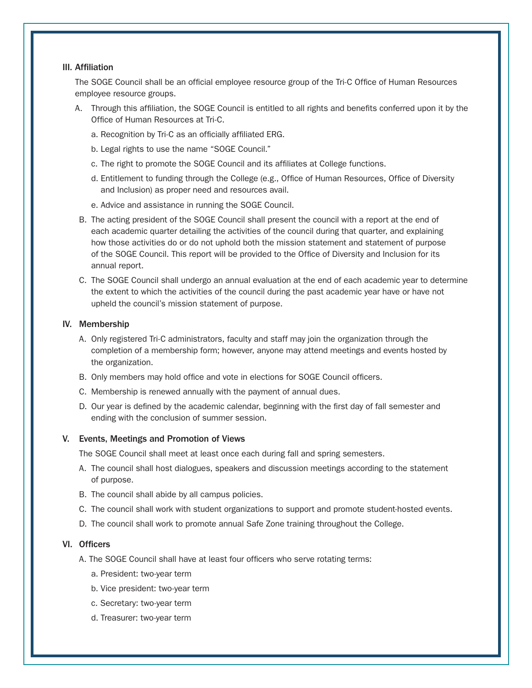#### III. Affiliation

The SOGE Council shall be an official employee resource group of the Tri-C Office of Human Resources employee resource groups.

- A. Through this affiliation, the SOGE Council is entitled to all rights and benefits conferred upon it by the Office of Human Resources at Tri-C.
	- a. Recognition by Tri-C as an officially affiliated ERG.
	- b. Legal rights to use the name "SOGE Council."
	- c. The right to promote the SOGE Council and its affiliates at College functions.
	- d. Entitlement to funding through the College (e.g., Office of Human Resources, Office of Diversity and Inclusion) as proper need and resources avail.
	- e. Advice and assistance in running the SOGE Council.
- B. The acting president of the SOGE Council shall present the council with a report at the end of each academic quarter detailing the activities of the council during that quarter, and explaining how those activities do or do not uphold both the mission statement and statement of purpose of the SOGE Council. This report will be provided to the Office of Diversity and Inclusion for its annual report.
- C. The SOGE Council shall undergo an annual evaluation at the end of each academic year to determine the extent to which the activities of the council during the past academic year have or have not upheld the council's mission statement of purpose.

#### IV. Membership

- A. Only registered Tri-C administrators, faculty and staff may join the organization through the completion of a membership form; however, anyone may attend meetings and events hosted by the organization.
- B. Only members may hold office and vote in elections for SOGE Council officers.
- C. Membership is renewed annually with the payment of annual dues.
- D. Our year is defined by the academic calendar, beginning with the first day of fall semester and ending with the conclusion of summer session.

#### V. Events, Meetings and Promotion of Views

The SOGE Council shall meet at least once each during fall and spring semesters.

- A. The council shall host dialogues, speakers and discussion meetings according to the statement of purpose.
- B. The council shall abide by all campus policies.
- C. The council shall work with student organizations to support and promote student-hosted events.
- D. The council shall work to promote annual Safe Zone training throughout the College.

## VI. Officers

- A. The SOGE Council shall have at least four officers who serve rotating terms:
	- a. President: two-year term
	- b. Vice president: two-year term
	- c. Secretary: two-year term
	- d. Treasurer: two-year term